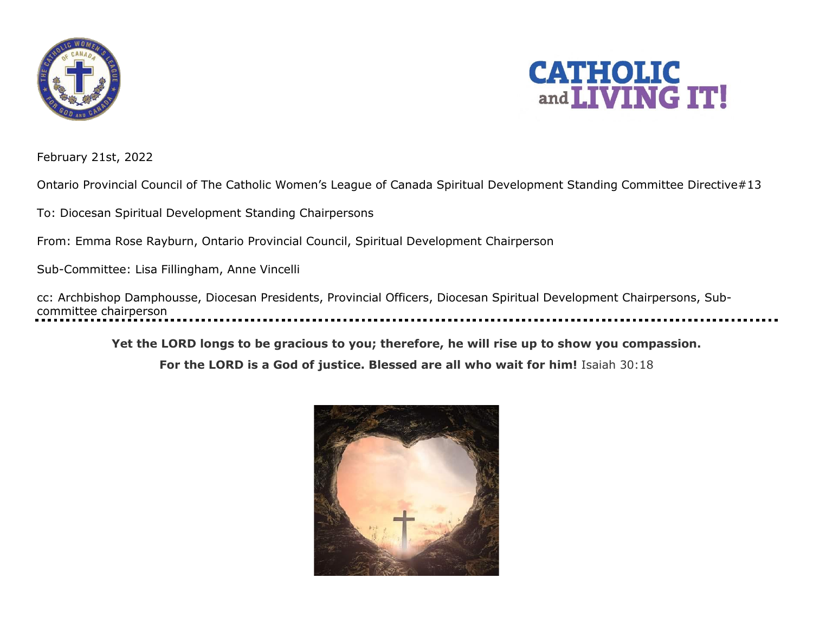



February 21st, 2022

Ontario Provincial Council of The Catholic Women's League of Canada Spiritual Development Standing Committee Directive#13

To: Diocesan Spiritual Development Standing Chairpersons

From: Emma Rose Rayburn, Ontario Provincial Council, Spiritual Development Chairperson

Sub-Committee: Lisa Fillingham, Anne Vincelli

cc: Archbishop Damphousse, Diocesan Presidents, Provincial Officers, Diocesan Spiritual Development Chairpersons, Subcommittee chairperson

**Yet the LORD longs to be gracious to you; therefore, he will rise up to show you compassion.** 

**For the LORD is a God of justice. Blessed are all who wait for him!** Isaiah 30:1[8](https://www.biblestudytools.com/isaiah/30-18.html)

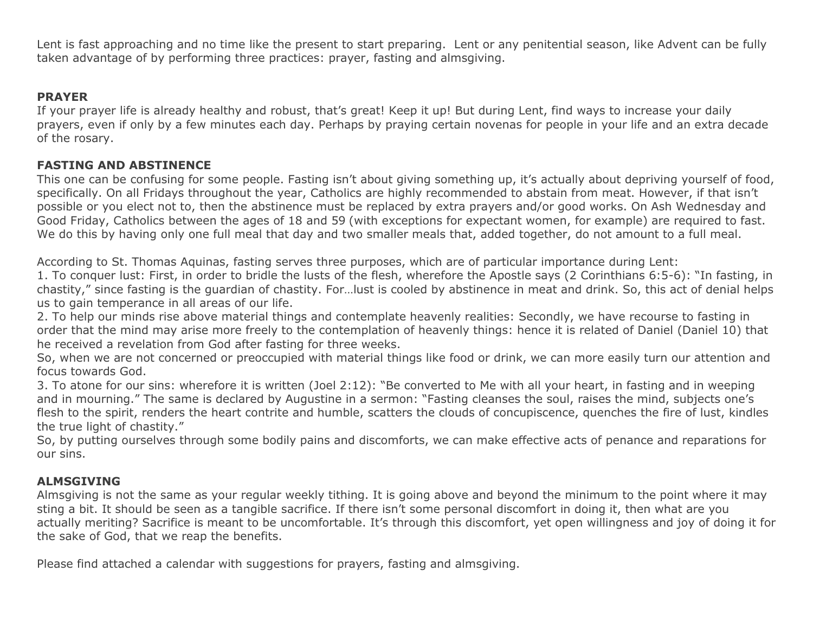Lent is fast approaching and no time like the present to start preparing. Lent or any penitential season, like Advent can be fully taken advantage of by performing three practices: prayer, fasting and almsgiving.

## **PRAYER**

If your prayer life is already healthy and robust, that's great! Keep it up! But during Lent, find ways to increase your daily prayers, even if only by a few minutes each day. Perhaps by praying certain novenas for people in your life and an extra decade of the rosary.

## **FASTING AND ABSTINENCE**

This one can be confusing for some people. Fasting isn't about giving something up, it's actually about depriving yourself of food, specifically. On all Fridays throughout the year, Catholics are highly recommended to abstain from meat. However, if that isn't possible or you elect not to, then the abstinence must be replaced by extra prayers and/or good works. On Ash Wednesday and Good Friday, Catholics between the ages of 18 and 59 (with exceptions for expectant women, for example) are required to fast. We do this by having only one full meal that day and two smaller meals that, added together, do not amount to a full meal.

According to St. Thomas Aquinas, fasting serves three purposes, which are of particular importance during Lent:

1. To conquer lust: First, in order to bridle the lusts of the flesh, wherefore the Apostle says (2 Corinthians 6:5-6): "In fasting, in chastity," since fasting is the guardian of chastity. For…lust is cooled by abstinence in meat and drink. So, this act of denial helps us to gain temperance in all areas of our life.

2. To help our minds rise above material things and contemplate heavenly realities: Secondly, we have recourse to fasting in order that the mind may arise more freely to the contemplation of heavenly things: hence it is related of Daniel (Daniel 10) that he received a revelation from God after fasting for three weeks.

So, when we are not concerned or preoccupied with material things like food or drink, we can more easily turn our attention and focus towards God.

3. To atone for our sins: wherefore it is written (Joel 2:12): "Be converted to Me with all your heart, in fasting and in weeping and in mourning." The same is declared by Augustine in a sermon: "Fasting cleanses the soul, raises the mind, subjects one's flesh to the spirit, renders the heart contrite and humble, scatters the clouds of concupiscence, quenches the fire of lust, kindles the true light of chastity."

So, by putting ourselves through some bodily pains and discomforts, we can make effective acts of penance and reparations for our sins.

## **ALMSGIVING**

Almsgiving is not the same as your regular weekly tithing. It is going above and beyond the minimum to the point where it may sting a bit. It should be seen as a tangible sacrifice. If there isn't some personal discomfort in doing it, then what are you actually meriting? Sacrifice is meant to be uncomfortable. It's through this discomfort, yet open willingness and joy of doing it for the sake of God, that we reap the benefits.

Please find attached a calendar with suggestions for prayers, fasting and almsgiving.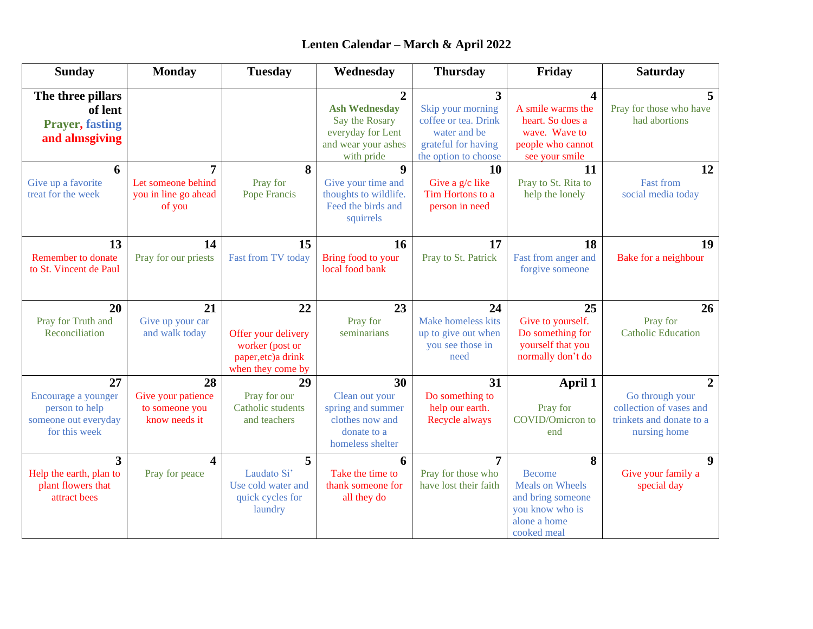# **Lenten Calendar – March & April 2022**

| <b>Sunday</b>                                                                        | <b>Monday</b>                                               | <b>Tuesday</b>                                                                           | Wednesday                                                                                          | <b>Thursday</b>                                                                                                            | Friday                                                                                                              | <b>Saturday</b>                                                                                          |
|--------------------------------------------------------------------------------------|-------------------------------------------------------------|------------------------------------------------------------------------------------------|----------------------------------------------------------------------------------------------------|----------------------------------------------------------------------------------------------------------------------------|---------------------------------------------------------------------------------------------------------------------|----------------------------------------------------------------------------------------------------------|
| The three pillars<br>of lent<br><b>Prayer, fasting</b><br>and almsgiving             |                                                             |                                                                                          | <b>Ash Wednesday</b><br>Say the Rosary<br>everyday for Lent<br>and wear your ashes<br>with pride   | $\overline{3}$<br>Skip your morning<br>coffee or tea. Drink<br>water and be<br>grateful for having<br>the option to choose | 4<br>A smile warms the<br>heart. So does a<br>wave. Wave to<br>people who cannot<br>see your smile                  | 5<br>Pray for those who have<br>had abortions                                                            |
| 6<br>Give up a favorite<br>treat for the week                                        | 7<br>Let someone behind<br>you in line go ahead<br>of you   | 8<br>Pray for<br>Pope Francis                                                            | $\boldsymbol{9}$<br>Give your time and<br>thoughts to wildlife.<br>Feed the birds and<br>squirrels | 10<br>Give a $g/c$ like<br>Tim Hortons to a<br>person in need                                                              | 11<br>Pray to St. Rita to<br>help the lonely                                                                        | 12<br><b>Fast from</b><br>social media today                                                             |
| 13<br><b>Remember to donate</b><br>to St. Vincent de Paul                            | 14<br>Pray for our priests                                  | 15<br>Fast from TV today                                                                 | 16<br>Bring food to your<br>local food bank                                                        | 17<br>Pray to St. Patrick                                                                                                  | 18<br>Fast from anger and<br>forgive someone                                                                        | 19<br>Bake for a neighbour                                                                               |
| 20<br>Pray for Truth and<br>Reconciliation                                           | 21<br>Give up your car<br>and walk today                    | 22<br>Offer your delivery<br>worker (post or<br>paper, etc) a drink<br>when they come by | 23<br>Pray for<br>seminarians                                                                      | 24<br>Make homeless kits<br>up to give out when<br>you see those in<br>need                                                | 25<br>Give to yourself.<br>Do something for<br>yourself that you<br>normally don't do                               | 26<br>Pray for<br><b>Catholic Education</b>                                                              |
| 27<br>Encourage a younger<br>person to help<br>someone out everyday<br>for this week | 28<br>Give your patience<br>to someone you<br>know needs it | 29<br>Pray for our<br>Catholic students<br>and teachers                                  | 30<br>Clean out your<br>spring and summer<br>clothes now and<br>donate to a<br>homeless shelter    | 31<br>Do something to<br>help our earth.<br>Recycle always                                                                 | April 1<br>Pray for<br>COVID/Omicron to<br>end                                                                      | $\overline{2}$<br>Go through your<br>collection of vases and<br>trinkets and donate to a<br>nursing home |
| 3<br>Help the earth, plan to<br>plant flowers that<br>attract bees                   | 4<br>Pray for peace                                         | 5<br>Laudato Si'<br>Use cold water and<br>quick cycles for<br>laundry                    | 6<br>Take the time to<br>thank someone for<br>all they do                                          | $\overline{7}$<br>Pray for those who<br>have lost their faith                                                              | 8<br><b>Become</b><br><b>Meals on Wheels</b><br>and bring someone<br>you know who is<br>alone a home<br>cooked meal | 9<br>Give your family a<br>special day                                                                   |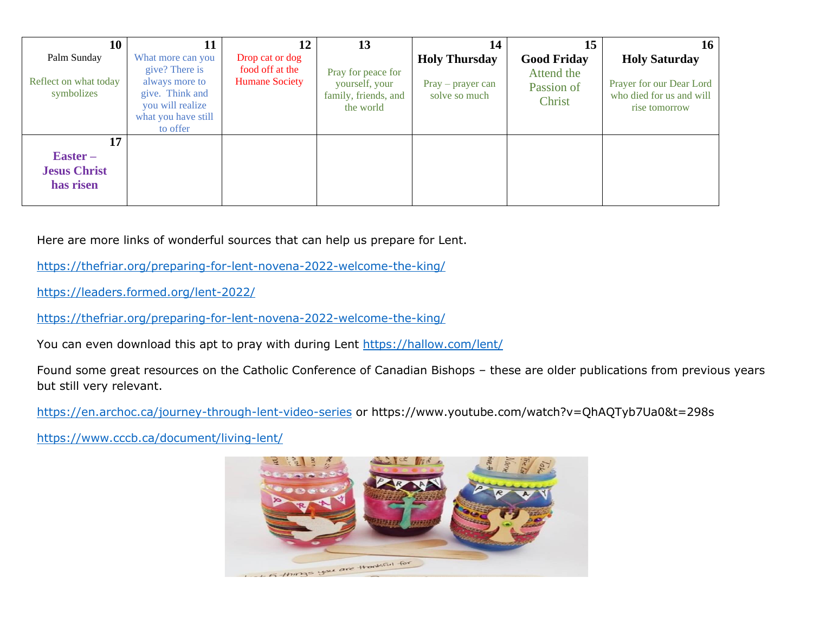| 10                                                            | 11                                                                                                                              | 12                                                          | 13                                                                        | 14                                                           | 15                                                       | $16-1$                                                                                        |
|---------------------------------------------------------------|---------------------------------------------------------------------------------------------------------------------------------|-------------------------------------------------------------|---------------------------------------------------------------------------|--------------------------------------------------------------|----------------------------------------------------------|-----------------------------------------------------------------------------------------------|
| Palm Sunday<br>Reflect on what today<br>symbolizes            | What more can you<br>give? There is<br>always more to<br>give. Think and<br>you will realize<br>what you have still<br>to offer | Drop cat or dog<br>food off at the<br><b>Humane Society</b> | Pray for peace for<br>yourself, your<br>family, friends, and<br>the world | <b>Holy Thursday</b><br>$Pray - prayer can$<br>solve so much | <b>Good Friday</b><br>Attend the<br>Passion of<br>Christ | <b>Holy Saturday</b><br>Prayer for our Dear Lord<br>who died for us and will<br>rise tomorrow |
| 17<br>$\textbf{Easter}$ –<br><b>Jesus Christ</b><br>has risen |                                                                                                                                 |                                                             |                                                                           |                                                              |                                                          |                                                                                               |

Here are more links of wonderful sources that can help us prepare for Lent.

<https://thefriar.org/preparing-for-lent-novena-2022-welcome-the-king/>

<https://leaders.formed.org/lent-2022/>

<https://thefriar.org/preparing-for-lent-novena-2022-welcome-the-king/>

You can even download this apt to pray with during Lent <https://hallow.com/lent/>

Found some great resources on the Catholic Conference of Canadian Bishops – these are older publications from previous years but still very relevant.

<https://en.archoc.ca/journey-through-lent-video-series> or https://www.youtube.com/watch?v=QhAQTyb7Ua0&t=298s

<https://www.cccb.ca/document/living-lent/>